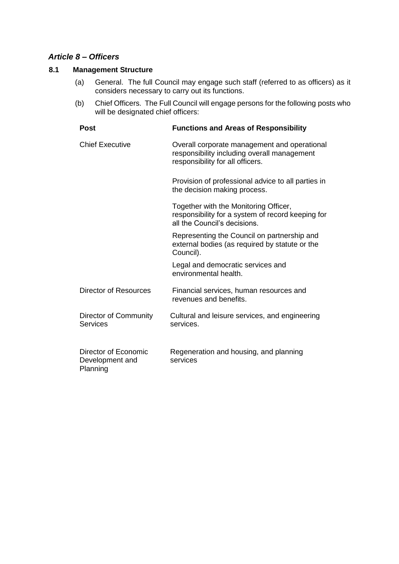# *Article 8 – Officers*

## **8.1 Management Structure**

- (a) General. The full Council may engage such staff (referred to as officers) as it considers necessary to carry out its functions.
- (b) Chief Officers. The Full Council will engage persons for the following posts who will be designated chief officers:

| <b>Post</b>                                         | <b>Functions and Areas of Responsibility</b>                                                                                    |
|-----------------------------------------------------|---------------------------------------------------------------------------------------------------------------------------------|
| <b>Chief Executive</b>                              | Overall corporate management and operational<br>responsibility including overall management<br>responsibility for all officers. |
|                                                     | Provision of professional advice to all parties in<br>the decision making process.                                              |
|                                                     | Together with the Monitoring Officer,<br>responsibility for a system of record keeping for<br>all the Council's decisions.      |
|                                                     | Representing the Council on partnership and<br>external bodies (as required by statute or the<br>Council).                      |
|                                                     | Legal and democratic services and<br>environmental health.                                                                      |
| Director of Resources                               | Financial services, human resources and<br>revenues and benefits.                                                               |
| Director of Community<br>Services                   | Cultural and leisure services, and engineering<br>services.                                                                     |
| Director of Economic<br>Development and<br>Planning | Regeneration and housing, and planning<br>services                                                                              |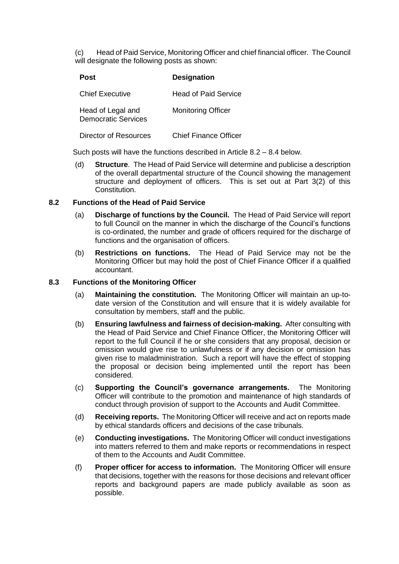(c) Head of Paid Service, Monitoring Officer and chief financial officer. The Council will designate the following posts as shown:

| <b>Post</b>                                     | <b>Designation</b>           |
|-------------------------------------------------|------------------------------|
| <b>Chief Executive</b>                          | <b>Head of Paid Service</b>  |
| Head of Legal and<br><b>Democratic Services</b> | <b>Monitoring Officer</b>    |
| Director of Resources                           | <b>Chief Finance Officer</b> |

Such posts will have the functions described in Article 8.2 – 8.4 below.

(d) **Structure**. The Head of Paid Service will determine and publicise a description of the overall departmental structure of the Council showing the management structure and deployment of officers. This is set out at Part 3(2) of this **Constitution** 

### **8.2 Functions of the Head of Paid Service**

- (a) **Discharge of functions by the Council.** The Head of Paid Service will report to full Council on the manner in which the discharge of the Council's functions is co-ordinated, the number and grade of officers required for the discharge of functions and the organisation of officers.
- (b) **Restrictions on functions.** The Head of Paid Service may not be the Monitoring Officer but may hold the post of Chief Finance Officer if a qualified accountant.

### **8.3 Functions of the Monitoring Officer**

- (a) **Maintaining the constitution.** The Monitoring Officer will maintain an up-todate version of the Constitution and will ensure that it is widely available for consultation by members, staff and the public.
- (b) **Ensuring lawfulness and fairness of decision-making.** After consulting with the Head of Paid Service and Chief Finance Officer, the Monitoring Officer will report to the full Council if he or she considers that any proposal, decision or omission would give rise to unlawfulness or if any decision or omission has given rise to maladministration. Such a report will have the effect of stopping the proposal or decision being implemented until the report has been considered.
- (c) **Supporting the Council's governance arrangements.** The Monitoring Officer will contribute to the promotion and maintenance of high standards of conduct through provision of support to the Accounts and Audit Committee.
- (d) **Receiving reports.** The Monitoring Officer will receive and act on reports made by ethical standards officers and decisions of the case tribunals.
- (e) **Conducting investigations.** The Monitoring Officer will conduct investigations into matters referred to them and make reports or recommendations in respect of them to the Accounts and Audit Committee.
- (f) **Proper officer for access to information.** The Monitoring Officer will ensure that decisions, together with the reasons for those decisions and relevant officer reports and background papers are made publicly available as soon as possible.